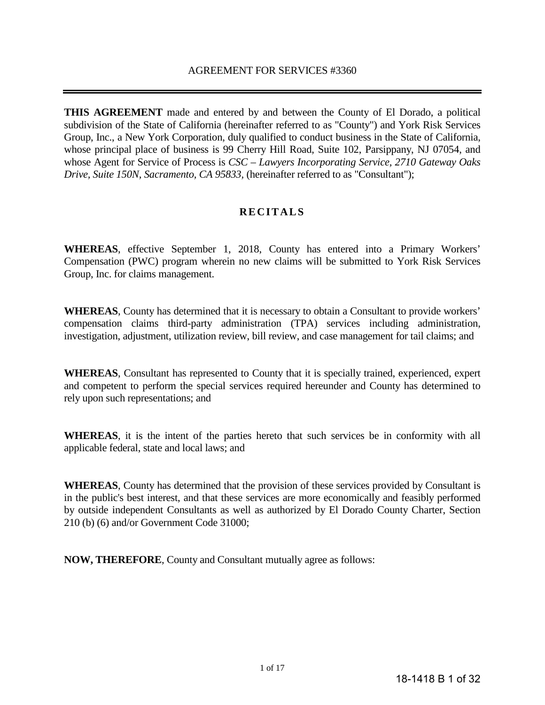**THIS AGREEMENT** made and entered by and between the County of El Dorado, a political subdivision of the State of California (hereinafter referred to as "County") and York Risk Services Group, Inc., a New York Corporation, duly qualified to conduct business in the State of California, whose principal place of business is 99 Cherry Hill Road, Suite 102, Parsippany, NJ 07054, and whose Agent for Service of Process is *CSC – Lawyers Incorporating Service, 2710 Gateway Oaks Drive, Suite 150N, Sacramento, CA 95833,* (hereinafter referred to as "Consultant");

# **RECITALS**

**WHEREAS**, effective September 1, 2018, County has entered into a Primary Workers' Compensation (PWC) program wherein no new claims will be submitted to York Risk Services Group, Inc. for claims management.

**WHEREAS**, County has determined that it is necessary to obtain a Consultant to provide workers' compensation claims third-party administration (TPA) services including administration, investigation, adjustment, utilization review, bill review, and case management for tail claims; and

**WHEREAS**, Consultant has represented to County that it is specially trained, experienced, expert and competent to perform the special services required hereunder and County has determined to rely upon such representations; and

**WHEREAS**, it is the intent of the parties hereto that such services be in conformity with all applicable federal, state and local laws; and

**WHEREAS**, County has determined that the provision of these services provided by Consultant is in the public's best interest, and that these services are more economically and feasibly performed by outside independent Consultants as well as authorized by El Dorado County Charter, Section 210 (b) (6) and/or Government Code 31000;

**NOW, THEREFORE**, County and Consultant mutually agree as follows: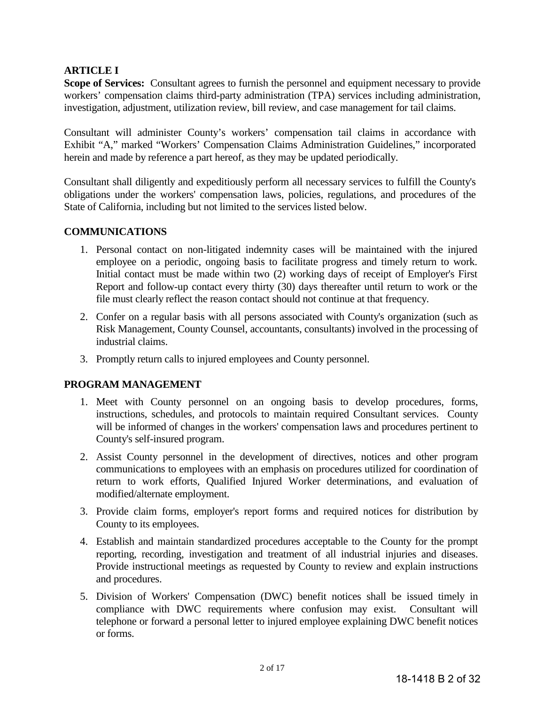# **ARTICLE I**

**Scope of Services:** Consultant agrees to furnish the personnel and equipment necessary to provide workers' compensation claims third-party administration (TPA) services including administration, investigation, adjustment, utilization review, bill review, and case management for tail claims.

Consultant will administer County's workers' compensation tail claims in accordance with Exhibit "A," marked "Workers' Compensation Claims Administration Guidelines," incorporated herein and made by reference a part hereof, as they may be updated periodically.

Consultant shall diligently and expeditiously perform all necessary services to fulfill the County's obligations under the workers' compensation laws, policies, regulations, and procedures of the State of California, including but not limited to the services listed below.

# **COMMUNICATIONS**

- 1. Personal contact on non-litigated indemnity cases will be maintained with the injured employee on a periodic, ongoing basis to facilitate progress and timely return to work. Initial contact must be made within two (2) working days of receipt of Employer's First Report and follow-up contact every thirty (30) days thereafter until return to work or the file must clearly reflect the reason contact should not continue at that frequency.
- 2. Confer on a regular basis with all persons associated with County's organization (such as Risk Management, County Counsel, accountants, consultants) involved in the processing of industrial claims.
- 3. Promptly return calls to injured employees and County personnel.

# **PROGRAM MANAGEMENT**

- 1. Meet with County personnel on an ongoing basis to develop procedures, forms, instructions, schedules, and protocols to maintain required Consultant services. County will be informed of changes in the workers' compensation laws and procedures pertinent to County's self-insured program.
- 2. Assist County personnel in the development of directives, notices and other program communications to employees with an emphasis on procedures utilized for coordination of return to work efforts, Qualified Injured Worker determinations, and evaluation of modified/alternate employment.
- 3. Provide claim forms, employer's report forms and required notices for distribution by County to its employees.
- 4. Establish and maintain standardized procedures acceptable to the County for the prompt reporting, recording, investigation and treatment of all industrial injuries and diseases. Provide instructional meetings as requested by County to review and explain instructions and procedures.
- 5. Division of Workers' Compensation (DWC) benefit notices shall be issued timely in compliance with DWC requirements where confusion may exist. Consultant will telephone or forward a personal letter to injured employee explaining DWC benefit notices or forms.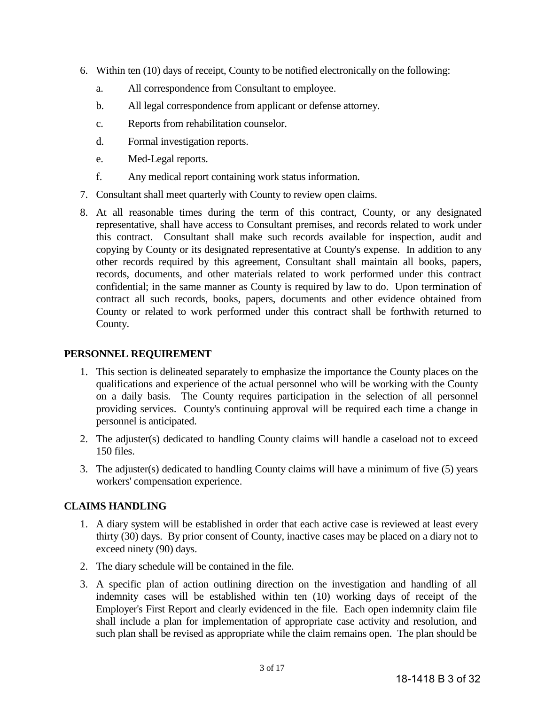- 6. Within ten (10) days of receipt, County to be notified electronically on the following:
	- a. All correspondence from Consultant to employee.
	- b. All legal correspondence from applicant or defense attorney.
	- c. Reports from rehabilitation counselor.
	- d. Formal investigation reports.
	- e. Med-Legal reports.
	- f. Any medical report containing work status information.
- 7. Consultant shall meet quarterly with County to review open claims.
- 8. At all reasonable times during the term of this contract, County, or any designated representative, shall have access to Consultant premises, and records related to work under this contract. Consultant shall make such records available for inspection, audit and copying by County or its designated representative at County's expense. In addition to any other records required by this agreement, Consultant shall maintain all books, papers, records, documents, and other materials related to work performed under this contract confidential; in the same manner as County is required by law to do. Upon termination of contract all such records, books, papers, documents and other evidence obtained from County or related to work performed under this contract shall be forthwith returned to County.

# **PERSONNEL REQUIREMENT**

- 1. This section is delineated separately to emphasize the importance the County places on the qualifications and experience of the actual personnel who will be working with the County on a daily basis. The County requires participation in the selection of all personnel providing services. County's continuing approval will be required each time a change in personnel is anticipated.
- 2. The adjuster(s) dedicated to handling County claims will handle a caseload not to exceed 150 files.
- 3. The adjuster(s) dedicated to handling County claims will have a minimum of five (5) years workers' compensation experience.

# **CLAIMS HANDLING**

- 1. A diary system will be established in order that each active case is reviewed at least every thirty (30) days. By prior consent of County, inactive cases may be placed on a diary not to exceed ninety (90) days.
- 2. The diary schedule will be contained in the file.
- 3. A specific plan of action outlining direction on the investigation and handling of all indemnity cases will be established within ten (10) working days of receipt of the Employer's First Report and clearly evidenced in the file. Each open indemnity claim file shall include a plan for implementation of appropriate case activity and resolution, and such plan shall be revised as appropriate while the claim remains open. The plan should be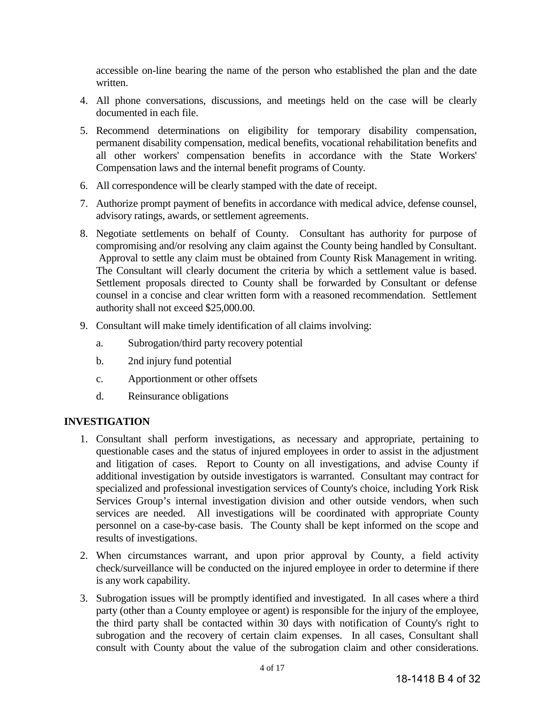accessible on-line bearing the name of the person who established the plan and the date written.

- 4. All phone conversations, discussions, and meetings held on the case will be clearly documented in each file.
- 5. Recommend determinations on eligibility for temporary disability compensation, permanent disability compensation, medical benefits, vocational rehabilitation benefits and all other workers' compensation benefits in accordance with the State Workers' Compensation laws and the internal benefit programs of County.
- 6. All correspondence will be clearly stamped with the date of receipt.
- 7. Authorize prompt payment of benefits in accordance with medical advice, defense counsel, advisory ratings, awards, or settlement agreements.
- 8. Negotiate settlements on behalf of County. Consultant has authority for purpose of compromising and/or resolving any claim against the County being handled by Consultant. Approval to settle any claim must be obtained from County Risk Management in writing. The Consultant will clearly document the criteria by which a settlement value is based. Settlement proposals directed to County shall be forwarded by Consultant or defense counsel in a concise and clear written form with a reasoned recommendation. Settlement authority shall not exceed \$25,000.00.
- 9. Consultant will make timely identification of all claims involving:
	- a. Subrogation/third party recovery potential
	- b. 2nd injury fund potential
	- c. Apportionment or other offsets
	- d. Reinsurance obligations

# **INVESTIGATION**

- 1. Consultant shall perform investigations, as necessary and appropriate, pertaining to questionable cases and the status of injured employees in order to assist in the adjustment and litigation of cases. Report to County on all investigations, and advise County if additional investigation by outside investigators is warranted. Consultant may contract for specialized and professional investigation services of County's choice, including York Risk Services Group's internal investigation division and other outside vendors, when such services are needed. All investigations will be coordinated with appropriate County personnel on a case-by-case basis. The County shall be kept informed on the scope and results of investigations.
- 2. When circumstances warrant, and upon prior approval by County, a field activity check/surveillance will be conducted on the injured employee in order to determine if there is any work capability.
- 3. Subrogation issues will be promptly identified and investigated. In all cases where a third party (other than a County employee or agent) is responsible for the injury of the employee, the third party shall be contacted within 30 days with notification of County's right to subrogation and the recovery of certain claim expenses. In all cases, Consultant shall consult with County about the value of the subrogation claim and other considerations.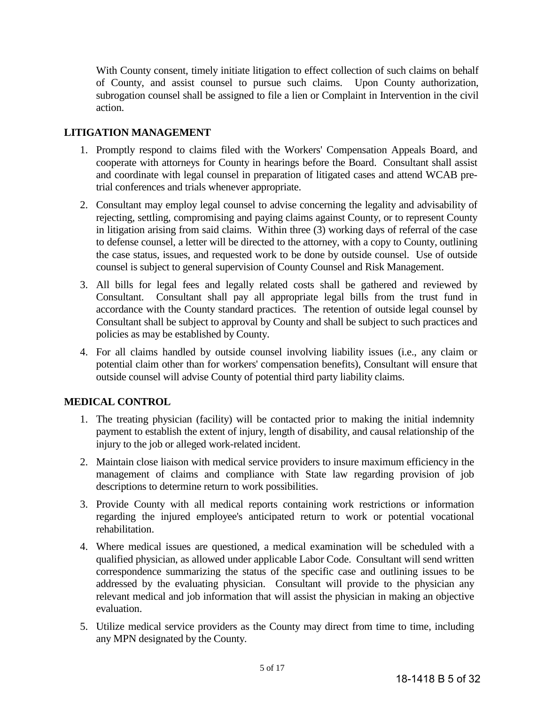With County consent, timely initiate litigation to effect collection of such claims on behalf of County, and assist counsel to pursue such claims. Upon County authorization, subrogation counsel shall be assigned to file a lien or Complaint in Intervention in the civil action.

# **LITIGATION MANAGEMENT**

- 1. Promptly respond to claims filed with the Workers' Compensation Appeals Board, and cooperate with attorneys for County in hearings before the Board. Consultant shall assist and coordinate with legal counsel in preparation of litigated cases and attend WCAB pretrial conferences and trials whenever appropriate.
- 2. Consultant may employ legal counsel to advise concerning the legality and advisability of rejecting, settling, compromising and paying claims against County, or to represent County in litigation arising from said claims. Within three (3) working days of referral of the case to defense counsel, a letter will be directed to the attorney, with a copy to County, outlining the case status, issues, and requested work to be done by outside counsel. Use of outside counsel is subject to general supervision of County Counsel and Risk Management.
- 3. All bills for legal fees and legally related costs shall be gathered and reviewed by Consultant. Consultant shall pay all appropriate legal bills from the trust fund in accordance with the County standard practices. The retention of outside legal counsel by Consultant shall be subject to approval by County and shall be subject to such practices and policies as may be established by County.
- 4. For all claims handled by outside counsel involving liability issues (i.e., any claim or potential claim other than for workers' compensation benefits), Consultant will ensure that outside counsel will advise County of potential third party liability claims.

# **MEDICAL CONTROL**

- 1. The treating physician (facility) will be contacted prior to making the initial indemnity payment to establish the extent of injury, length of disability, and causal relationship of the injury to the job or alleged work-related incident.
- 2. Maintain close liaison with medical service providers to insure maximum efficiency in the management of claims and compliance with State law regarding provision of job descriptions to determine return to work possibilities.
- 3. Provide County with all medical reports containing work restrictions or information regarding the injured employee's anticipated return to work or potential vocational rehabilitation.
- 4. Where medical issues are questioned, a medical examination will be scheduled with a qualified physician, as allowed under applicable Labor Code. Consultant will send written correspondence summarizing the status of the specific case and outlining issues to be addressed by the evaluating physician. Consultant will provide to the physician any relevant medical and job information that will assist the physician in making an objective evaluation.
- 5. Utilize medical service providers as the County may direct from time to time, including any MPN designated by the County.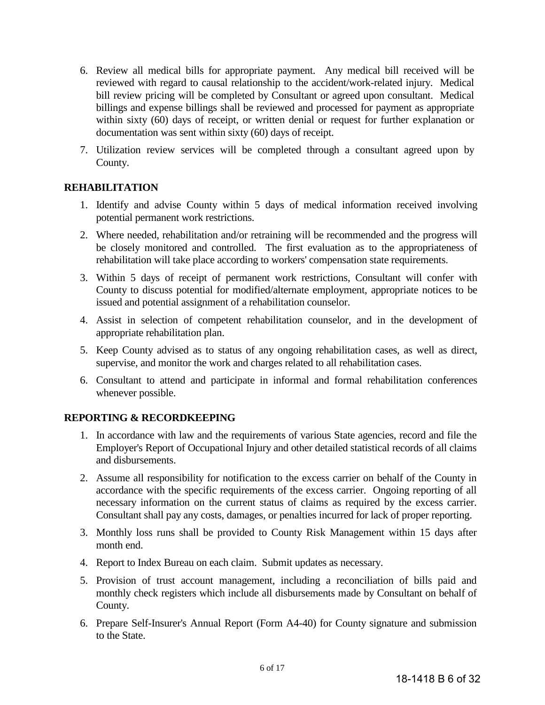- 6. Review all medical bills for appropriate payment. Any medical bill received will be reviewed with regard to causal relationship to the accident/work-related injury. Medical bill review pricing will be completed by Consultant or agreed upon consultant. Medical billings and expense billings shall be reviewed and processed for payment as appropriate within sixty (60) days of receipt, or written denial or request for further explanation or documentation was sent within sixty (60) days of receipt.
- 7. Utilization review services will be completed through a consultant agreed upon by County.

# **REHABILITATION**

- 1. Identify and advise County within 5 days of medical information received involving potential permanent work restrictions.
- 2. Where needed, rehabilitation and/or retraining will be recommended and the progress will be closely monitored and controlled. The first evaluation as to the appropriateness of rehabilitation will take place according to workers' compensation state requirements.
- 3. Within 5 days of receipt of permanent work restrictions, Consultant will confer with County to discuss potential for modified/alternate employment, appropriate notices to be issued and potential assignment of a rehabilitation counselor.
- 4. Assist in selection of competent rehabilitation counselor, and in the development of appropriate rehabilitation plan.
- 5. Keep County advised as to status of any ongoing rehabilitation cases, as well as direct, supervise, and monitor the work and charges related to all rehabilitation cases.
- 6. Consultant to attend and participate in informal and formal rehabilitation conferences whenever possible.

# **REPORTING & RECORDKEEPING**

- 1. In accordance with law and the requirements of various State agencies, record and file the Employer's Report of Occupational Injury and other detailed statistical records of all claims and disbursements.
- 2. Assume all responsibility for notification to the excess carrier on behalf of the County in accordance with the specific requirements of the excess carrier. Ongoing reporting of all necessary information on the current status of claims as required by the excess carrier. Consultant shall pay any costs, damages, or penalties incurred for lack of proper reporting.
- 3. Monthly loss runs shall be provided to County Risk Management within 15 days after month end.
- 4. Report to Index Bureau on each claim. Submit updates as necessary.
- 5. Provision of trust account management, including a reconciliation of bills paid and monthly check registers which include all disbursements made by Consultant on behalf of County.
- 6. Prepare Self-Insurer's Annual Report (Form A4-40) for County signature and submission to the State.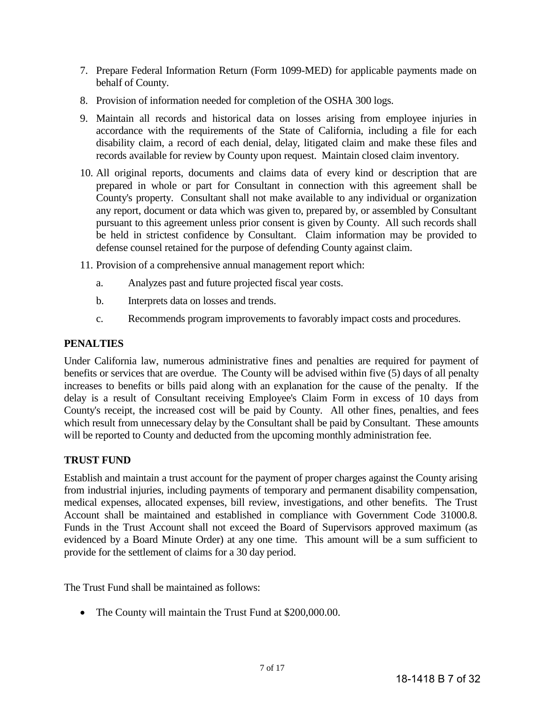- 7. Prepare Federal Information Return (Form 1099-MED) for applicable payments made on behalf of County.
- 8. Provision of information needed for completion of the OSHA 300 logs.
- 9. Maintain all records and historical data on losses arising from employee injuries in accordance with the requirements of the State of California, including a file for each disability claim, a record of each denial, delay, litigated claim and make these files and records available for review by County upon request. Maintain closed claim inventory.
- 10. All original reports, documents and claims data of every kind or description that are prepared in whole or part for Consultant in connection with this agreement shall be County's property. Consultant shall not make available to any individual or organization any report, document or data which was given to, prepared by, or assembled by Consultant pursuant to this agreement unless prior consent is given by County. All such records shall be held in strictest confidence by Consultant. Claim information may be provided to defense counsel retained for the purpose of defending County against claim.
- 11. Provision of a comprehensive annual management report which:
	- a. Analyzes past and future projected fiscal year costs.
	- b. Interprets data on losses and trends.
	- c. Recommends program improvements to favorably impact costs and procedures.

# **PENALTIES**

Under California law, numerous administrative fines and penalties are required for payment of benefits or services that are overdue. The County will be advised within five (5) days of all penalty increases to benefits or bills paid along with an explanation for the cause of the penalty. If the delay is a result of Consultant receiving Employee's Claim Form in excess of 10 days from County's receipt, the increased cost will be paid by County. All other fines, penalties, and fees which result from unnecessary delay by the Consultant shall be paid by Consultant. These amounts will be reported to County and deducted from the upcoming monthly administration fee.

# **TRUST FUND**

Establish and maintain a trust account for the payment of proper charges against the County arising from industrial injuries, including payments of temporary and permanent disability compensation, medical expenses, allocated expenses, bill review, investigations, and other benefits. The Trust Account shall be maintained and established in compliance with Government Code 31000.8. Funds in the Trust Account shall not exceed the Board of Supervisors approved maximum (as evidenced by a Board Minute Order) at any one time. This amount will be a sum sufficient to provide for the settlement of claims for a 30 day period.

The Trust Fund shall be maintained as follows:

• The County will maintain the Trust Fund at \$200,000.00.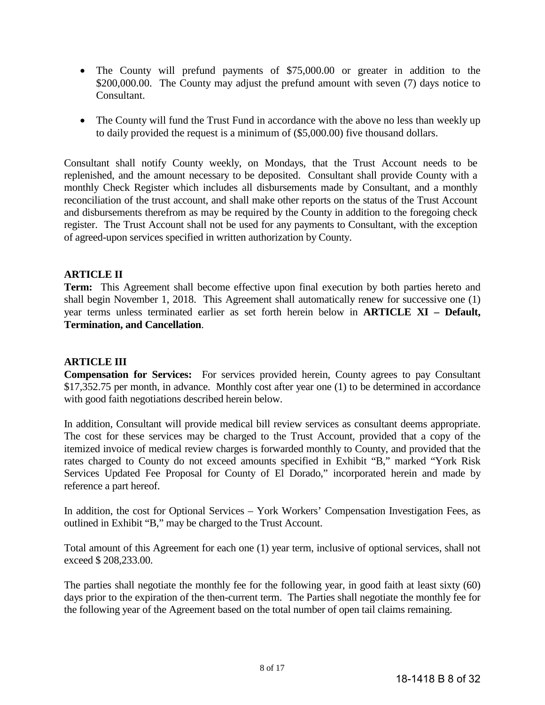- The County will prefund payments of \$75,000.00 or greater in addition to the \$200,000.00. The County may adjust the prefund amount with seven (7) days notice to Consultant.
- The County will fund the Trust Fund in accordance with the above no less than weekly up to daily provided the request is a minimum of (\$5,000.00) five thousand dollars.

Consultant shall notify County weekly, on Mondays, that the Trust Account needs to be replenished, and the amount necessary to be deposited. Consultant shall provide County with a monthly Check Register which includes all disbursements made by Consultant, and a monthly reconciliation of the trust account, and shall make other reports on the status of the Trust Account and disbursements therefrom as may be required by the County in addition to the foregoing check register. The Trust Account shall not be used for any payments to Consultant, with the exception of agreed-upon services specified in written authorization by County.

# **ARTICLE II**

**Term:** This Agreement shall become effective upon final execution by both parties hereto and shall begin November 1, 2018. This Agreement shall automatically renew for successive one (1) year terms unless terminated earlier as set forth herein below in **ARTICLE XI – Default, Termination, and Cancellation**.

# **ARTICLE III**

**Compensation for Services:** For services provided herein, County agrees to pay Consultant \$17,352.75 per month, in advance. Monthly cost after year one (1) to be determined in accordance with good faith negotiations described herein below.

In addition, Consultant will provide medical bill review services as consultant deems appropriate. The cost for these services may be charged to the Trust Account, provided that a copy of the itemized invoice of medical review charges is forwarded monthly to County, and provided that the rates charged to County do not exceed amounts specified in Exhibit "B," marked "York Risk Services Updated Fee Proposal for County of El Dorado," incorporated herein and made by reference a part hereof.

In addition, the cost for Optional Services – York Workers' Compensation Investigation Fees, as outlined in Exhibit "B," may be charged to the Trust Account.

Total amount of this Agreement for each one (1) year term, inclusive of optional services, shall not exceed \$ 208,233.00.

The parties shall negotiate the monthly fee for the following year, in good faith at least sixty (60) days prior to the expiration of the then-current term. The Parties shall negotiate the monthly fee for the following year of the Agreement based on the total number of open tail claims remaining.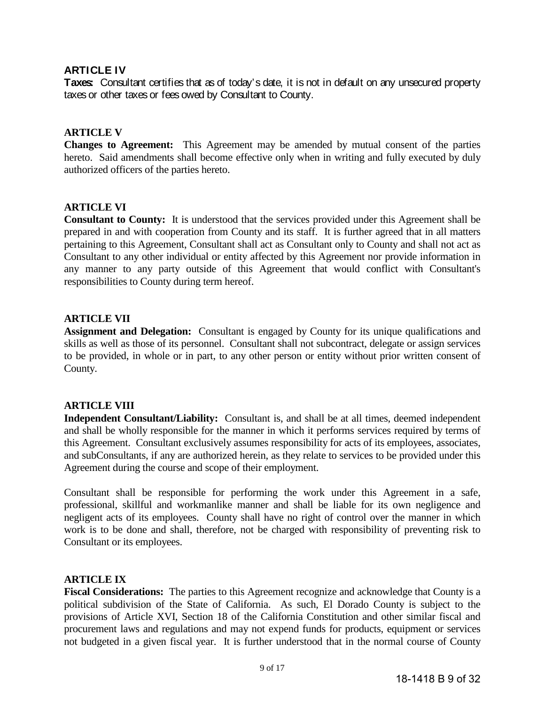# **ARTICLE IV**

**Taxes:** Consultant certifies that as of today's date, it is not in default on any unsecured property taxes or other taxes or fees owed by Consultant to County.

# **ARTICLE V**

**Changes to Agreement:** This Agreement may be amended by mutual consent of the parties hereto. Said amendments shall become effective only when in writing and fully executed by duly authorized officers of the parties hereto.

# **ARTICLE VI**

**Consultant to County:** It is understood that the services provided under this Agreement shall be prepared in and with cooperation from County and its staff. It is further agreed that in all matters pertaining to this Agreement, Consultant shall act as Consultant only to County and shall not act as Consultant to any other individual or entity affected by this Agreement nor provide information in any manner to any party outside of this Agreement that would conflict with Consultant's responsibilities to County during term hereof.

# **ARTICLE VII**

**Assignment and Delegation:** Consultant is engaged by County for its unique qualifications and skills as well as those of its personnel. Consultant shall not subcontract, delegate or assign services to be provided, in whole or in part, to any other person or entity without prior written consent of County.

# **ARTICLE VIII**

**Independent Consultant/Liability:** Consultant is, and shall be at all times, deemed independent and shall be wholly responsible for the manner in which it performs services required by terms of this Agreement. Consultant exclusively assumes responsibility for acts of its employees, associates, and subConsultants, if any are authorized herein, as they relate to services to be provided under this Agreement during the course and scope of their employment.

Consultant shall be responsible for performing the work under this Agreement in a safe, professional, skillful and workmanlike manner and shall be liable for its own negligence and negligent acts of its employees. County shall have no right of control over the manner in which work is to be done and shall, therefore, not be charged with responsibility of preventing risk to Consultant or its employees.

# **ARTICLE IX**

**Fiscal Considerations:** The parties to this Agreement recognize and acknowledge that County is a political subdivision of the State of California. As such, El Dorado County is subject to the provisions of Article XVI, Section 18 of the California Constitution and other similar fiscal and procurement laws and regulations and may not expend funds for products, equipment or services not budgeted in a given fiscal year. It is further understood that in the normal course of County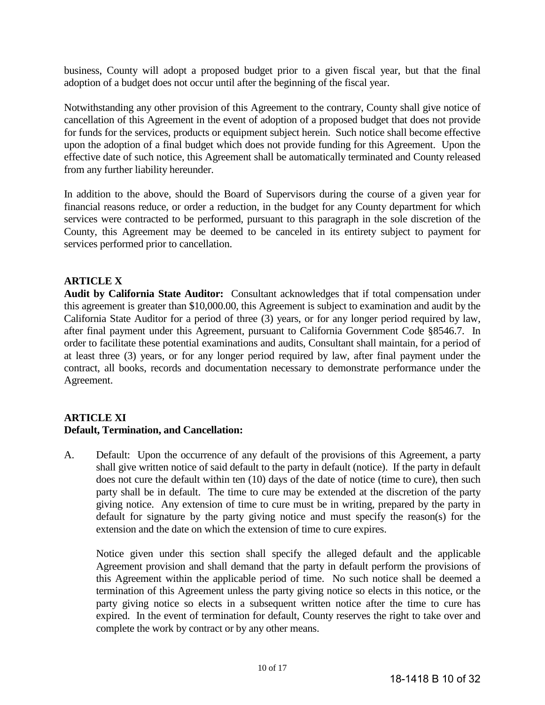business, County will adopt a proposed budget prior to a given fiscal year, but that the final adoption of a budget does not occur until after the beginning of the fiscal year.

Notwithstanding any other provision of this Agreement to the contrary, County shall give notice of cancellation of this Agreement in the event of adoption of a proposed budget that does not provide for funds for the services, products or equipment subject herein. Such notice shall become effective upon the adoption of a final budget which does not provide funding for this Agreement. Upon the effective date of such notice, this Agreement shall be automatically terminated and County released from any further liability hereunder.

In addition to the above, should the Board of Supervisors during the course of a given year for financial reasons reduce, or order a reduction, in the budget for any County department for which services were contracted to be performed, pursuant to this paragraph in the sole discretion of the County, this Agreement may be deemed to be canceled in its entirety subject to payment for services performed prior to cancellation.

# **ARTICLE X**

**Audit by California State Auditor:** Consultant acknowledges that if total compensation under this agreement is greater than \$10,000.00, this Agreement is subject to examination and audit by the California State Auditor for a period of three (3) years, or for any longer period required by law, after final payment under this Agreement, pursuant to California Government Code §8546.7. In order to facilitate these potential examinations and audits, Consultant shall maintain, for a period of at least three (3) years, or for any longer period required by law, after final payment under the contract, all books, records and documentation necessary to demonstrate performance under the Agreement.

# **ARTICLE XI**

# **Default, Termination, and Cancellation:**

A. Default: Upon the occurrence of any default of the provisions of this Agreement, a party shall give written notice of said default to the party in default (notice). If the party in default does not cure the default within ten (10) days of the date of notice (time to cure), then such party shall be in default. The time to cure may be extended at the discretion of the party giving notice. Any extension of time to cure must be in writing, prepared by the party in default for signature by the party giving notice and must specify the reason(s) for the extension and the date on which the extension of time to cure expires.

Notice given under this section shall specify the alleged default and the applicable Agreement provision and shall demand that the party in default perform the provisions of this Agreement within the applicable period of time. No such notice shall be deemed a termination of this Agreement unless the party giving notice so elects in this notice, or the party giving notice so elects in a subsequent written notice after the time to cure has expired. In the event of termination for default, County reserves the right to take over and complete the work by contract or by any other means.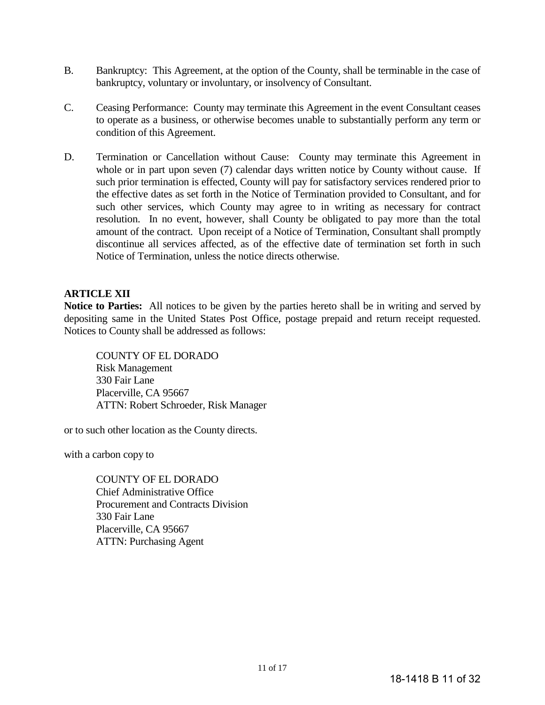- B. Bankruptcy: This Agreement, at the option of the County, shall be terminable in the case of bankruptcy, voluntary or involuntary, or insolvency of Consultant.
- C. Ceasing Performance: County may terminate this Agreement in the event Consultant ceases to operate as a business, or otherwise becomes unable to substantially perform any term or condition of this Agreement.
- D. Termination or Cancellation without Cause: County may terminate this Agreement in whole or in part upon seven (7) calendar days written notice by County without cause. If such prior termination is effected, County will pay for satisfactory services rendered prior to the effective dates as set forth in the Notice of Termination provided to Consultant, and for such other services, which County may agree to in writing as necessary for contract resolution. In no event, however, shall County be obligated to pay more than the total amount of the contract. Upon receipt of a Notice of Termination, Consultant shall promptly discontinue all services affected, as of the effective date of termination set forth in such Notice of Termination, unless the notice directs otherwise.

# **ARTICLE XII**

**Notice to Parties:** All notices to be given by the parties hereto shall be in writing and served by depositing same in the United States Post Office, postage prepaid and return receipt requested. Notices to County shall be addressed as follows:

COUNTY OF EL DORADO Risk Management 330 Fair Lane Placerville, CA 95667 ATTN: Robert Schroeder, Risk Manager

or to such other location as the County directs.

with a carbon copy to

COUNTY OF EL DORADO Chief Administrative Office Procurement and Contracts Division 330 Fair Lane Placerville, CA 95667 ATTN: Purchasing Agent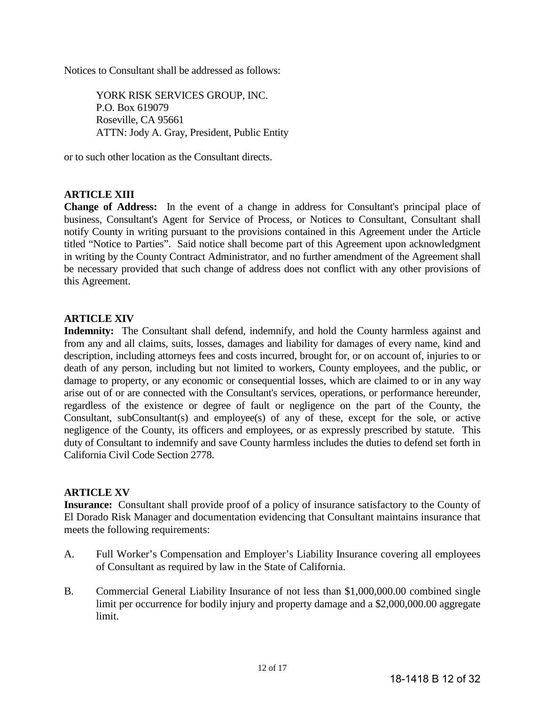Notices to Consultant shall be addressed as follows:

YORK RISK SERVICES GROUP, INC. P.O. Box 619079 Roseville, CA 95661 ATTN: Jody A. Gray, President, Public Entity

or to such other location as the Consultant directs.

# **ARTICLE XIII**

**Change of Address:** In the event of a change in address for Consultant's principal place of business, Consultant's Agent for Service of Process, or Notices to Consultant, Consultant shall notify County in writing pursuant to the provisions contained in this Agreement under the Article titled "Notice to Parties". Said notice shall become part of this Agreement upon acknowledgment in writing by the County Contract Administrator, and no further amendment of the Agreement shall be necessary provided that such change of address does not conflict with any other provisions of this Agreement.

# **ARTICLE XIV**

**Indemnity:** The Consultant shall defend, indemnify, and hold the County harmless against and from any and all claims, suits, losses, damages and liability for damages of every name, kind and description, including attorneys fees and costs incurred, brought for, or on account of, injuries to or death of any person, including but not limited to workers, County employees, and the public, or damage to property, or any economic or consequential losses, which are claimed to or in any way arise out of or are connected with the Consultant's services, operations, or performance hereunder, regardless of the existence or degree of fault or negligence on the part of the County, the Consultant, subConsultant(s) and employee(s) of any of these, except for the sole, or active negligence of the County, its officers and employees, or as expressly prescribed by statute. This duty of Consultant to indemnify and save County harmless includes the duties to defend set forth in California Civil Code Section 2778.

# **ARTICLE XV**

**Insurance:** Consultant shall provide proof of a policy of insurance satisfactory to the County of El Dorado Risk Manager and documentation evidencing that Consultant maintains insurance that meets the following requirements:

- A. Full Worker's Compensation and Employer's Liability Insurance covering all employees of Consultant as required by law in the State of California.
- B. Commercial General Liability Insurance of not less than \$1,000,000.00 combined single limit per occurrence for bodily injury and property damage and a \$2,000,000.00 aggregate limit.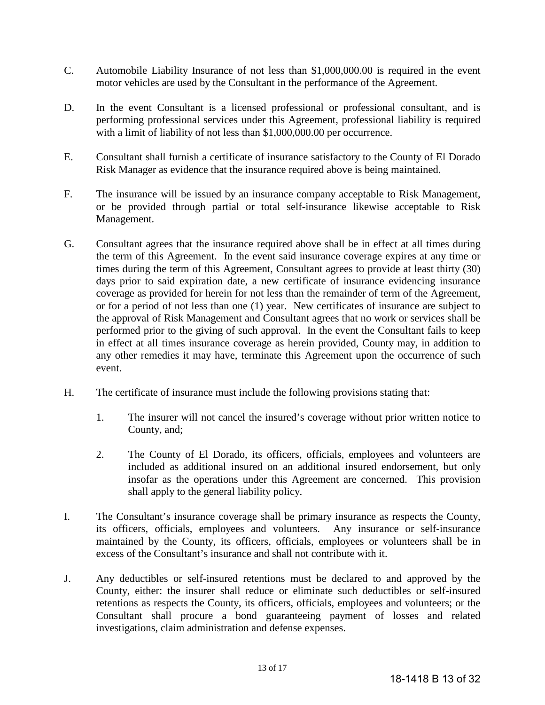- C. Automobile Liability Insurance of not less than \$1,000,000.00 is required in the event motor vehicles are used by the Consultant in the performance of the Agreement.
- D. In the event Consultant is a licensed professional or professional consultant, and is performing professional services under this Agreement, professional liability is required with a limit of liability of not less than \$1,000,000.00 per occurrence.
- E. Consultant shall furnish a certificate of insurance satisfactory to the County of El Dorado Risk Manager as evidence that the insurance required above is being maintained.
- F. The insurance will be issued by an insurance company acceptable to Risk Management, or be provided through partial or total self-insurance likewise acceptable to Risk Management.
- G. Consultant agrees that the insurance required above shall be in effect at all times during the term of this Agreement. In the event said insurance coverage expires at any time or times during the term of this Agreement, Consultant agrees to provide at least thirty (30) days prior to said expiration date, a new certificate of insurance evidencing insurance coverage as provided for herein for not less than the remainder of term of the Agreement, or for a period of not less than one (1) year. New certificates of insurance are subject to the approval of Risk Management and Consultant agrees that no work or services shall be performed prior to the giving of such approval. In the event the Consultant fails to keep in effect at all times insurance coverage as herein provided, County may, in addition to any other remedies it may have, terminate this Agreement upon the occurrence of such event.
- H. The certificate of insurance must include the following provisions stating that:
	- 1. The insurer will not cancel the insured's coverage without prior written notice to County, and;
	- 2. The County of El Dorado, its officers, officials, employees and volunteers are included as additional insured on an additional insured endorsement, but only insofar as the operations under this Agreement are concerned. This provision shall apply to the general liability policy.
- I. The Consultant's insurance coverage shall be primary insurance as respects the County, its officers, officials, employees and volunteers. Any insurance or self-insurance maintained by the County, its officers, officials, employees or volunteers shall be in excess of the Consultant's insurance and shall not contribute with it.
- J. Any deductibles or self-insured retentions must be declared to and approved by the County, either: the insurer shall reduce or eliminate such deductibles or self-insured retentions as respects the County, its officers, officials, employees and volunteers; or the Consultant shall procure a bond guaranteeing payment of losses and related investigations, claim administration and defense expenses.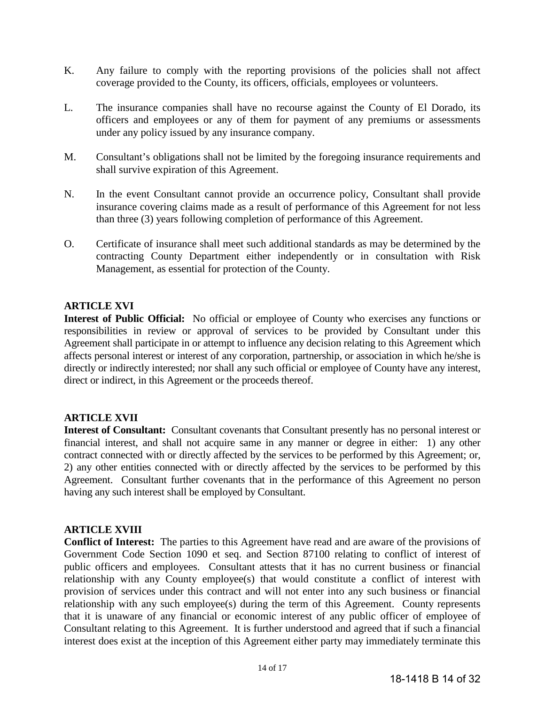- K. Any failure to comply with the reporting provisions of the policies shall not affect coverage provided to the County, its officers, officials, employees or volunteers.
- L. The insurance companies shall have no recourse against the County of El Dorado, its officers and employees or any of them for payment of any premiums or assessments under any policy issued by any insurance company.
- M. Consultant's obligations shall not be limited by the foregoing insurance requirements and shall survive expiration of this Agreement.
- N. In the event Consultant cannot provide an occurrence policy, Consultant shall provide insurance covering claims made as a result of performance of this Agreement for not less than three (3) years following completion of performance of this Agreement.
- O. Certificate of insurance shall meet such additional standards as may be determined by the contracting County Department either independently or in consultation with Risk Management, as essential for protection of the County.

# **ARTICLE XVI**

**Interest of Public Official:** No official or employee of County who exercises any functions or responsibilities in review or approval of services to be provided by Consultant under this Agreement shall participate in or attempt to influence any decision relating to this Agreement which affects personal interest or interest of any corporation, partnership, or association in which he/she is directly or indirectly interested; nor shall any such official or employee of County have any interest, direct or indirect, in this Agreement or the proceeds thereof.

# **ARTICLE XVII**

**Interest of Consultant:** Consultant covenants that Consultant presently has no personal interest or financial interest, and shall not acquire same in any manner or degree in either: 1) any other contract connected with or directly affected by the services to be performed by this Agreement; or, 2) any other entities connected with or directly affected by the services to be performed by this Agreement. Consultant further covenants that in the performance of this Agreement no person having any such interest shall be employed by Consultant.

# **ARTICLE XVIII**

**Conflict of Interest:** The parties to this Agreement have read and are aware of the provisions of Government Code Section 1090 et seq. and Section 87100 relating to conflict of interest of public officers and employees. Consultant attests that it has no current business or financial relationship with any County employee(s) that would constitute a conflict of interest with provision of services under this contract and will not enter into any such business or financial relationship with any such employee(s) during the term of this Agreement. County represents that it is unaware of any financial or economic interest of any public officer of employee of Consultant relating to this Agreement. It is further understood and agreed that if such a financial interest does exist at the inception of this Agreement either party may immediately terminate this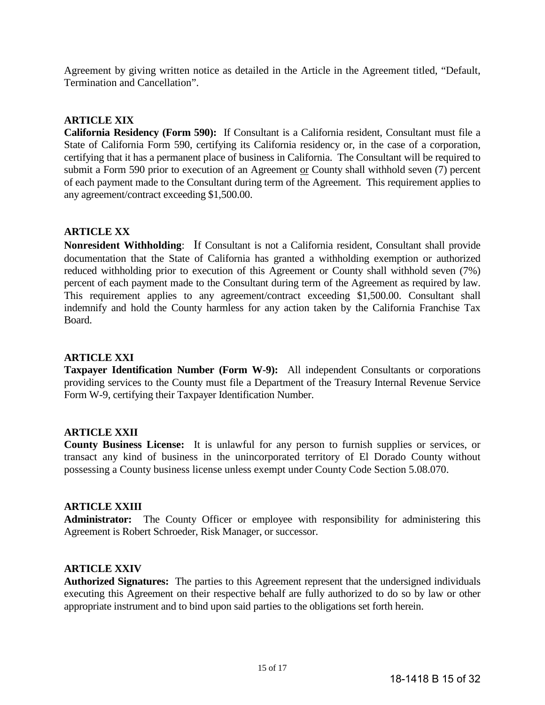Agreement by giving written notice as detailed in the Article in the Agreement titled, "Default, Termination and Cancellation".

# **ARTICLE XIX**

**California Residency (Form 590):** If Consultant is a California resident, Consultant must file a State of California Form 590, certifying its California residency or, in the case of a corporation, certifying that it has a permanent place of business in California. The Consultant will be required to submit a Form 590 prior to execution of an Agreement or County shall withhold seven (7) percent of each payment made to the Consultant during term of the Agreement. This requirement applies to any agreement/contract exceeding \$1,500.00.

# **ARTICLE XX**

**Nonresident Withholding**: If Consultant is not a California resident, Consultant shall provide documentation that the State of California has granted a withholding exemption or authorized reduced withholding prior to execution of this Agreement or County shall withhold seven (7%) percent of each payment made to the Consultant during term of the Agreement as required by law. This requirement applies to any agreement/contract exceeding \$1,500.00. Consultant shall indemnify and hold the County harmless for any action taken by the California Franchise Tax Board.

## **ARTICLE XXI**

**Taxpayer Identification Number (Form W-9):** All independent Consultants or corporations providing services to the County must file a Department of the Treasury Internal Revenue Service Form W-9, certifying their Taxpayer Identification Number.

## **ARTICLE XXII**

**County Business License:** It is unlawful for any person to furnish supplies or services, or transact any kind of business in the unincorporated territory of El Dorado County without possessing a County business license unless exempt under County Code Section 5.08.070.

# **ARTICLE XXIII**

**Administrator:** The County Officer or employee with responsibility for administering this Agreement is Robert Schroeder, Risk Manager, or successor.

# **ARTICLE XXIV**

**Authorized Signatures:** The parties to this Agreement represent that the undersigned individuals executing this Agreement on their respective behalf are fully authorized to do so by law or other appropriate instrument and to bind upon said parties to the obligations set forth herein.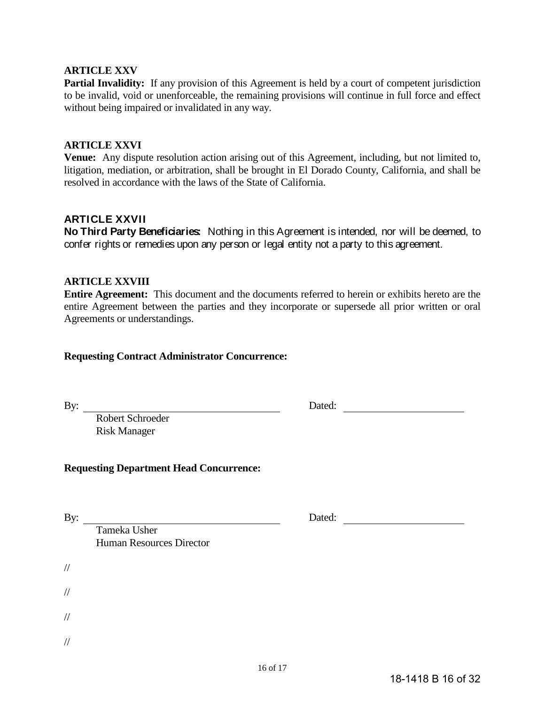# **ARTICLE XXV**

Partial Invalidity: If any provision of this Agreement is held by a court of competent jurisdiction to be invalid, void or unenforceable, the remaining provisions will continue in full force and effect without being impaired or invalidated in any way.

# **ARTICLE XXVI**

**Venue:** Any dispute resolution action arising out of this Agreement, including, but not limited to, litigation, mediation, or arbitration, shall be brought in El Dorado County, California, and shall be resolved in accordance with the laws of the State of California.

# **ARTICLE XXVII**

**No Third Party Beneficiaries:** Nothing in this Agreement is intended, nor will be deemed, to confer rights or remedies upon any person or legal entity not a party to this agreement.

# **ARTICLE XXVIII**

**Entire Agreement:** This document and the documents referred to herein or exhibits hereto are the entire Agreement between the parties and they incorporate or supersede all prior written or oral Agreements or understandings.

## **Requesting Contract Administrator Concurrence:**

By: Dated:

Robert Schroeder Risk Manager

# **Requesting Department Head Concurrence:**

//

//

//

//

By: <u>Dated:</u> Dated: <u>Dated:</u> Dated: 2007

Tameka Usher Human Resources Director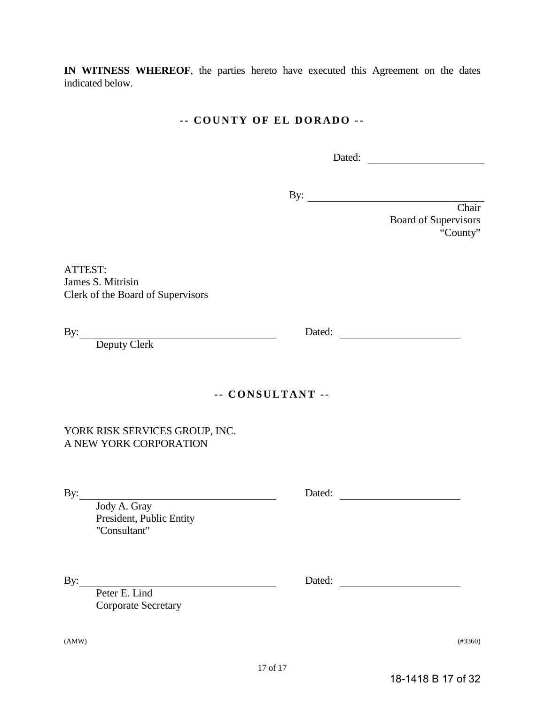**IN WITNESS WHEREOF**, the parties hereto have executed this Agreement on the dates indicated below.

# **- - COUNTY OF EL DORADO - -**

Dated:

By:

Chair Board of Supervisors "County"

ATTEST: James S. Mitrisin Clerk of the Board of Supervisors

Deputy Clerk

**- - CONSULTANT - -**

YORK RISK SERVICES GROUP, INC. A NEW YORK CORPORATION

Jody A. Gray President, Public Entity "Consultant"

Peter E. Lind Corporate Secretary

By: Dated:

(AMW) (#3360)

18-1418 B 17 of 32

By: Dated:

By: Dated: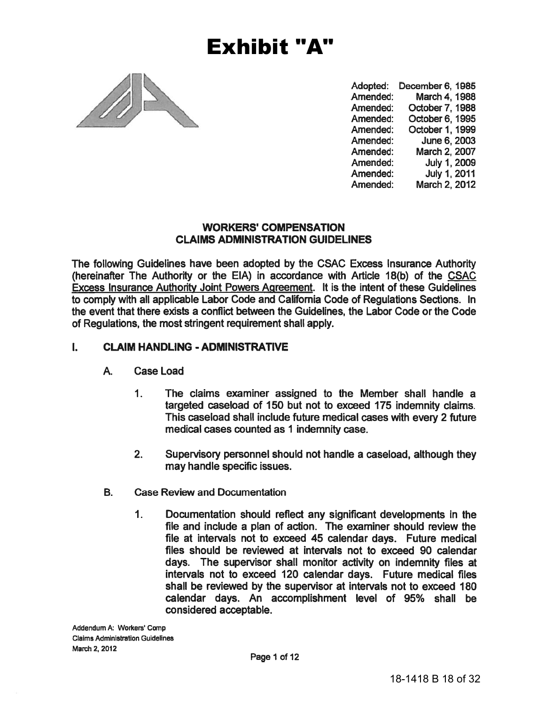

# $\mathbf{L}$

- A. **Case Load** 
	- $1.$
	- $2<sub>1</sub>$
- **B.**
- **Exhibit "A"**<br>
Modelet: December 8, 1988<br>
Amended: Dedorer 7, 1988<br>
Amended: Oddore 7, 1988<br>
Amended: Oddore 7, 1988<br>
Amended: Oddore 1, 1998<br>
Amended: Oddore 1, 1998<br>
Amended: July 1, 2009<br>
Amended: March 2, 2002<br>
Amende  $1.$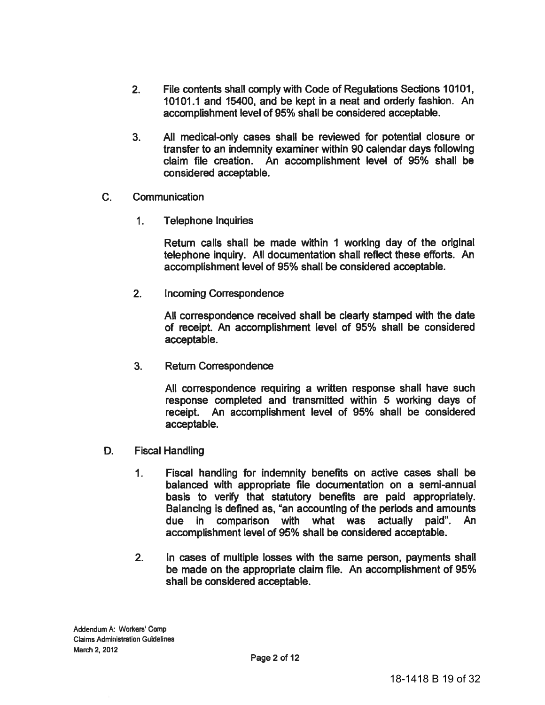- $2.$ File contents shall comply with Code of Regulations Sections 10101, 10101.1 and 15400, and be kept in a neat and orderly fashion. An accomplishment level of 95% shall be considered acceptable.
- $3<sub>1</sub>$ All medical-only cases shall be reviewed for potential closure or transfer to an indemnity examiner within 90 calendar days following claim file creation. An accomplishment level of 95% shall be considered acceptable.
- $C_{\cdot}$ Communication
	- $1<sub>1</sub>$ **Telephone Inquiries**

Return calls shall be made within 1 working day of the original telephone inquiry. All documentation shall reflect these efforts. An accomplishment level of 95% shall be considered acceptable.

 $2.$ **Incoming Correspondence** 

> All correspondence received shall be clearly stamped with the date of receipt. An accomplishment level of 95% shall be considered acceptable.

3. **Return Correspondence** 

> All correspondence requiring a written response shall have such response completed and transmitted within 5 working days of receipt. An accomplishment level of 95% shall be considered acceptable.

- D. **Fiscal Handling** 
	- $\mathbf{1}$ . Fiscal handling for indemnity benefits on active cases shall be balanced with appropriate file documentation on a semi-annual basis to verify that statutory benefits are paid appropriately. Balancing is defined as, "an accounting of the periods and amounts due in comparison with what was actually paid". An accomplishment level of 95% shall be considered acceptable.
	- $2.$ In cases of multiple losses with the same person, payments shall be made on the appropriate claim file. An accomplishment of 95% shall be considered acceptable.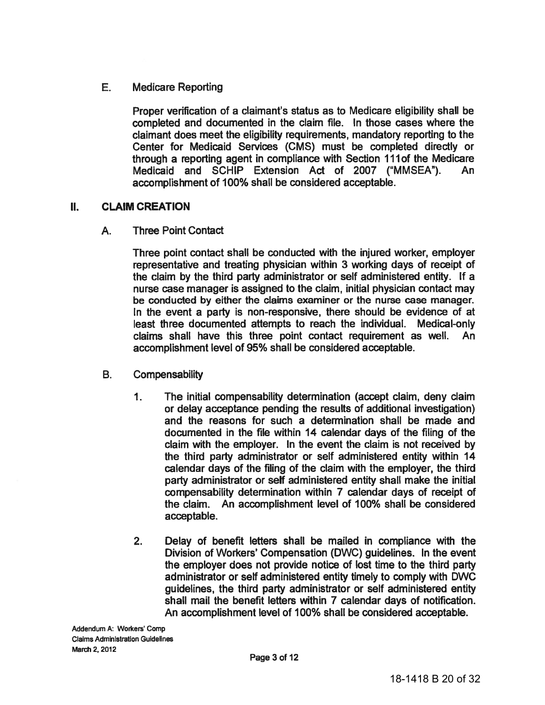#### E. **Medicare Reporting**

Proper verification of a claimant's status as to Medicare eligibility shall be completed and documented in the claim file. In those cases where the claimant does meet the eligibility reguirements, mandatory reporting to the Center for Medicaid Services (CMS) must be completed directly or through a reporting agent in compliance with Section 111 of the Medicare Medicaid and SCHIP Extension Act of 2007 ("MMSEA"). An accomplishment of 100% shall be considered acceptable.

#### **CLAIM CREATION**  $II.$

A. **Three Point Contact** 

> Three point contact shall be conducted with the injured worker, employer representative and treating physician within 3 working days of receipt of the claim by the third party administrator or self administered entity. If a nurse case manager is assigned to the claim, initial physician contact may be conducted by either the claims examiner or the nurse case manager. In the event a party is non-responsive, there should be evidence of at least three documented attempts to reach the individual. Medical-only claims shall have this three point contact requirement as well. An accomplishment level of 95% shall be considered acceptable.

- $\mathbf{B}$ Compensability
	- $\mathbf 1$ The initial compensability determination (accept claim, deny claim or delay acceptance pending the results of additional investigation) and the reasons for such a determination shall be made and documented in the file within 14 calendar days of the filing of the claim with the employer. In the event the claim is not received by the third party administrator or self administered entity within 14 calendar days of the filing of the claim with the employer, the third party administrator or self administered entity shall make the initial compensability determination within 7 calendar days of receipt of the claim. An accomplishment level of 100% shall be considered acceptable.
	- $2.$ Delay of benefit letters shall be mailed in compliance with the Division of Workers' Compensation (DWC) guidelines. In the event the employer does not provide notice of lost time to the third party administrator or self administered entity timely to comply with DWC guidelines, the third party administrator or self administered entity shall mail the benefit letters within 7 calendar days of notification. An accomplishment level of 100% shall be considered acceptable.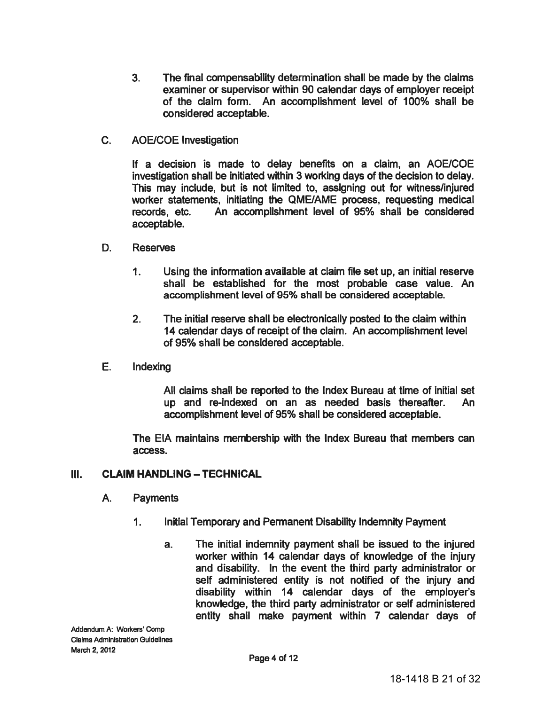- The final compensability determination shall be made by the claims  $3<sub>1</sub>$ examiner or supervisor within 90 calendar days of employer receipt of the claim form. An accomplishment level of 100% shall be considered acceptable.
- $C_{1}$ **AOE/COE Investigation**

If a decision is made to delay benefits on a claim, an AOE/COE investigation shall be initiated within 3 working days of the decision to delay. This may include, but is not limited to, assigning out for witness/injured worker statements, initiating the QME/AME process, requesting medical records. etc. An accomplishment level of 95% shall be considered acceptable.

- D. **Reserves** 
	- $\mathbf 1$ Using the information available at claim file set up, an initial reserve shall be established for the most probable case value. An accomplishment level of 95% shall be considered acceptable.
	- $2<sub>1</sub>$ The initial reserve shall be electronically posted to the claim within 14 calendar days of receipt of the claim. An accomplishment level of 95% shall be considered acceptable.
- E. Indexina

All claims shall be reported to the Index Bureau at time of initial set up and re-indexed on an as needed basis thereafter. **An** accomplishment level of 95% shall be considered acceptable.

The EIA maintains membership with the Index Bureau that members can access.

#### III. **CLAIM HANDLING - TECHNICAL**

#### A. **Payments**

- $1<sub>1</sub>$ Initial Temporary and Permanent Disability Indemnity Payment
	- The initial indemnity payment shall be issued to the injured  $a.$ worker within 14 calendar days of knowledge of the injury and disability. In the event the third party administrator or self administered entity is not notified of the injury and disability within 14 calendar days of the employer's knowledge, the third party administrator or self administered entity shall make payment within 7 calendar days of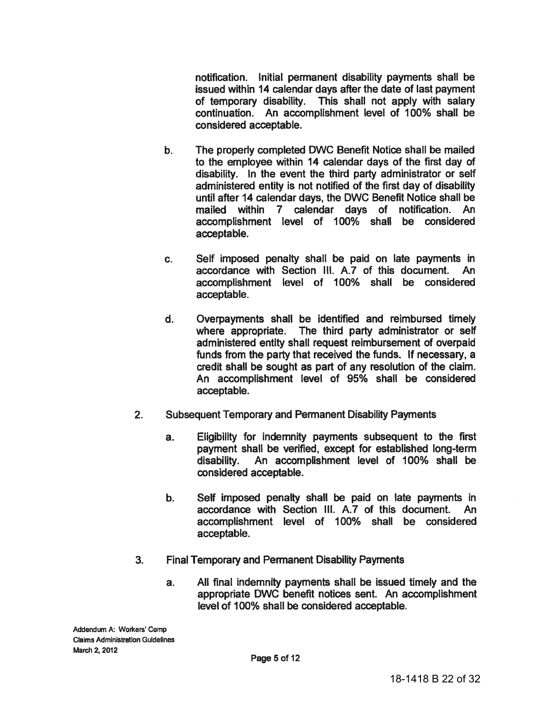notification. Initial permanent disability payments shall be issued within 14 calendar days after the date of last payment of temporary disability. This shall not apply with salary continuation. An accomplishment level of 100% shall be considered acceptable.

- The properly completed DWC Benefit Notice shall be mailed b. to the employee within 14 calendar days of the first day of disability. In the event the third party administrator or self administered entity is not notified of the first day of disability until after 14 calendar days, the DWC Benefit Notice shall be mailed within 7 calendar days of notification. An accomplishment level of 100% shall be considered acceptable.
- Self imposed penalty shall be paid on late payments in  $C_{\cdot}$ accordance with Section III. A.7 of this document. An accomplishment level of 100% shall be considered acceptable.
- d. Overpayments shall be identified and reimbursed timely where appropriate. The third party administrator or self administered entity shall request reimbursement of overpaid funds from the party that received the funds. If necessary, a credit shall be sought as part of any resolution of the claim. An accomplishment level of 95% shall be considered acceptable.
- $2.$ **Subsequent Temporary and Permanent Disability Payments** 
	- Eligibility for indemnity payments subsequent to the first a. payment shall be verified, except for established long-term An accomplishment level of 100% shall be disability. considered acceptable.
	- Self imposed penalty shall be paid on late payments in b. accordance with Section III. A.7 of this document. An accomplishment level of 100% shall be considered acceptable.
- $3<sub>1</sub>$ **Final Temporary and Permanent Disability Payments** 
	- All final indemnity payments shall be issued timely and the a. appropriate DWC benefit notices sent. An accomplishment level of 100% shall be considered acceptable.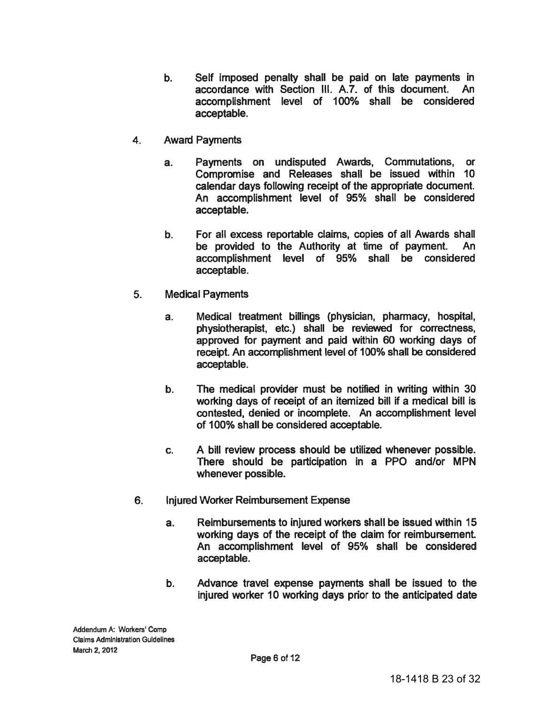- $\mathbf{b}$ . Self imposed penalty shall be paid on late payments in accordance with Section III. A.7. of this document. An accomplishment level of 100% shall be considered acceptable.
- $4.$ **Award Payments** 
	- Payments on undisputed Awards, Commutations, or  $a<sub>r</sub>$ Compromise and Releases shall be issued within 10 calendar days following receipt of the appropriate document. An accomplishment level of 95% shall be considered acceptable.
	- b. For all excess reportable claims, copies of all Awards shall be provided to the Authority at time of payment. An accomplishment level of 95% shall be considered acceptable.
- $5.$ **Medical Payments** 
	- Medical treatment billings (physician, pharmacy, hospital, a. physiotherapist, etc.) shall be reviewed for correctness. approved for payment and paid within 60 working days of receipt. An accomplishment level of 100% shall be considered acceptable.
	- The medical provider must be notified in writing within 30 b. working days of receipt of an itemized bill if a medical bill is contested, denied or incomplete. An accomplishment level of 100% shall be considered acceptable.
	- A bill review process should be utilized whenever possible. C. There should be participation in a PPO and/or MPN whenever possible.
- 6. Injured Worker Reimbursement Expense
	- Reimbursements to injured workers shall be issued within 15  $a<sub>r</sub>$ working days of the receipt of the claim for reimbursement. An accomplishment level of 95% shall be considered acceptable.
	- $\mathbf b$ . Advance travel expense payments shall be issued to the injured worker 10 working days prior to the anticipated date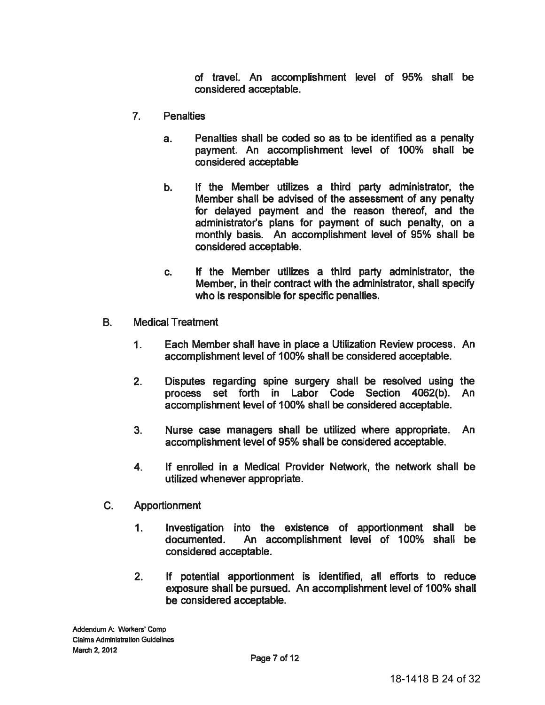of travel. An accomplishment level of 95% shall be considered acceptable.

- $7<sub>1</sub>$ **Penalties** 
	- Penalties shall be coded so as to be identified as a penalty  $a<sub>1</sub>$ payment. An accomplishment level of 100% shall be considered acceptable
	- If the Member utilizes a third party administrator, the b. Member shall be advised of the assessment of any penalty for delayed payment and the reason thereof, and the administrator's plans for payment of such penalty, on a monthly basis. An accomplishment level of 95% shall be considered acceptable.
	- If the Member utilizes a third party administrator, the C. Member, in their contract with the administrator, shall specify who is responsible for specific penalties.
- **B. Medical Treatment** 
	- $1<sub>1</sub>$ Each Member shall have in place a Utilization Review process. An accomplishment level of 100% shall be considered acceptable.
	- $2.$ Disputes regarding spine surgery shall be resolved using the process set forth in Labor Code Section 4062(b). An accomplishment level of 100% shall be considered acceptable.
	- $3<sub>1</sub>$ Nurse case managers shall be utilized where appropriate. An. accomplishment level of 95% shall be considered acceptable.
	- If enrolled in a Medical Provider Network, the network shall be  $4<sub>1</sub>$ utilized whenever appropriate.
- $C_{\cdot}$ **Apportionment** 
	- $1.$ Investigation into the existence of apportionment shall be An accomplishment level of 100% shall be documented. considered acceptable.
	- $2<sub>1</sub>$ If potential apportionment is identified, all efforts to reduce exposure shall be pursued. An accomplishment level of 100% shall be considered acceptable.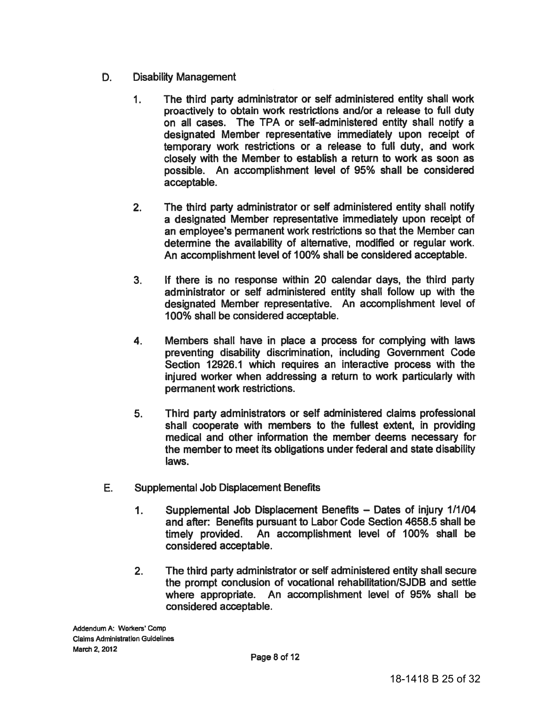- D. **Disability Management** 
	- $1<sub>1</sub>$ The third party administrator or self administered entity shall work proactively to obtain work restrictions and/or a release to full duty on all cases. The TPA or self-administered entity shall notify a designated Member representative immediately upon receipt of temporary work restrictions or a release to full duty, and work closely with the Member to establish a return to work as soon as possible. An accomplishment level of 95% shall be considered acceptable.
	- $2<sub>1</sub>$ The third party administrator or self administered entity shall notify a designated Member representative immediately upon receipt of an employee's permanent work restrictions so that the Member can determine the availability of alternative, modified or regular work. An accomplishment level of 100% shall be considered acceptable.
	- If there is no response within 20 calendar days, the third party  $3<sub>1</sub>$ administrator or self administered entity shall follow up with the designated Member representative. An accomplishment level of 100% shall be considered acceptable.
	- 4. Members shall have in place a process for complying with laws preventing disability discrimination, including Government Code Section 12926.1 which requires an interactive process with the injured worker when addressing a return to work particularly with permanent work restrictions.
	- 5. Third party administrators or self administered claims professional shall cooperate with members to the fullest extent, in providing medical and other information the member deems necessary for the member to meet its obligations under federal and state disability laws.
- E. **Supplemental Job Displacement Benefits** 
	- $1<sub>1</sub>$ Supplemental Job Displacement Benefits - Dates of injury 1/1/04 and after: Benefits pursuant to Labor Code Section 4658.5 shall be timely provided. An accomplishment level of 100% shall be considered acceptable.
	- $2.$ The third party administrator or self administered entity shall secure the prompt conclusion of vocational rehabilitation/SJDB and settle where appropriate. An accomplishment level of 95% shall be considered acceptable.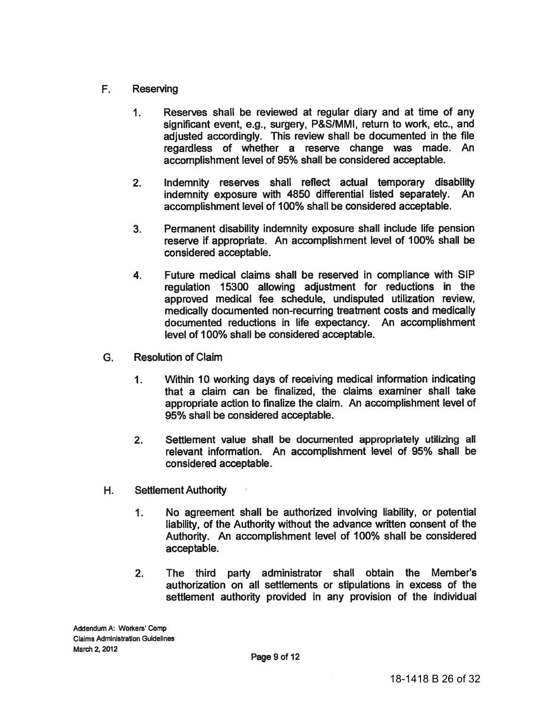- $F_{\rm{L}}$ Reserving
	- $1<sub>1</sub>$ Reserves shall be reviewed at regular diary and at time of any significant event, e.g., surgery, P&S/MMI, return to work, etc., and adjusted accordingly. This review shall be documented in the file regardless of whether a reserve change was made. An accomplishment level of 95% shall be considered acceptable.
	- $2<sub>1</sub>$ Indemnity reserves shall reflect actual temporary disability indemnity exposure with 4850 differential listed separately. An accomplishment level of 100% shall be considered acceptable.
	- Permanent disability indemnity exposure shall include life pension  $3<sub>1</sub>$ reserve if appropriate. An accomplishment level of 100% shall be considered acceptable.
	- Future medical claims shall be reserved in compliance with SIP  $4.$ regulation 15300 allowing adjustment for reductions in the approved medical fee schedule, undisputed utilization review, medically documented non-recurring treatment costs and medically documented reductions in life expectancy. An accomplishment level of 100% shall be considered acceptable.
- G. **Resolution of Claim** 
	- Within 10 working days of receiving medical information indicating  $1<sub>1</sub>$ that a claim can be finalized, the claims examiner shall take appropriate action to finalize the claim. An accomplishment level of 95% shall be considered acceptable.
	- Settlement value shall be documented appropriately utilizing all  $2.$ relevant information. An accomplishment level of 95% shall be considered acceptable.
- H. **Settlement Authority** 
	- $\mathbf 1$ . No agreement shall be authorized involving liability, or potential liability, of the Authority without the advance written consent of the Authority. An accomplishment level of 100% shall be considered acceptable.
	- The third party administrator shall obtain the Member's  $2.$ authorization on all settlements or stipulations in excess of the settlement authority provided in any provision of the individual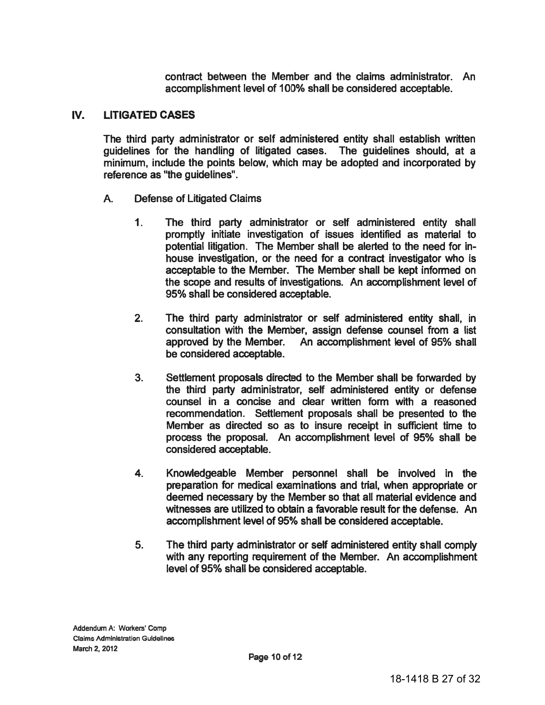contract between the Member and the claims administrator. An accomplishment level of 100% shall be considered acceptable.

#### IV. **LITIGATED CASES**

The third party administrator or self administered entity shall establish written guidelines for the handling of litigated cases. The guidelines should, at a minimum, include the points below, which may be adopted and incorporated by reference as "the quidelines".

- **Defense of Litigated Claims** A.
	- The third party administrator or self administered entity shall  $1<sub>1</sub>$ promptly initiate investigation of issues identified as material to potential litigation. The Member shall be alerted to the need for inhouse investigation, or the need for a contract investigator who is acceptable to the Member. The Member shall be kept informed on the scope and results of investigations. An accomplishment level of 95% shall be considered acceptable.
	- $2<sub>1</sub>$ The third party administrator or self administered entity shall, in consultation with the Member, assign defense counsel from a list approved by the Member. An accomplishment level of 95% shall be considered acceptable.
	- $3.$ Settlement proposals directed to the Member shall be forwarded by the third party administrator, self administered entity or defense counsel in a concise and clear written form with a reasoned recommendation. Settlement proposals shall be presented to the Member as directed so as to insure receipt in sufficient time to process the proposal. An accomplishment level of 95% shall be considered acceptable.
	- Knowledgeable Member personnel shall be involved in the 4. preparation for medical examinations and trial, when appropriate or deemed necessary by the Member so that all material evidence and witnesses are utilized to obtain a favorable result for the defense. An accomplishment level of 95% shall be considered acceptable.
	- 5. The third party administrator or self administered entity shall comply with any reporting requirement of the Member. An accomplishment level of 95% shall be considered acceptable.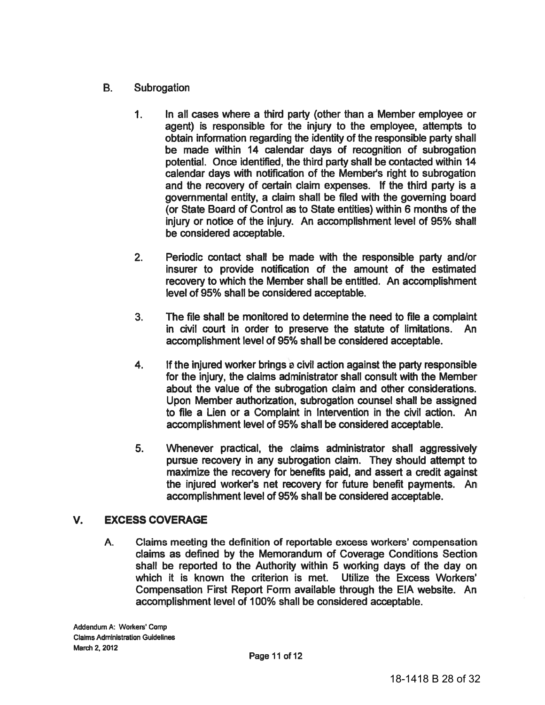- **B.** Subrogation
	- $1<sub>1</sub>$ In all cases where a third party (other than a Member employee or agent) is responsible for the injury to the employee, attempts to obtain information regarding the identity of the responsible party shall be made within 14 calendar days of recognition of subrogation potential. Once identified, the third party shall be contacted within 14 calendar days with notification of the Member's right to subrogation and the recovery of certain claim expenses. If the third party is a governmental entity, a claim shall be filed with the governing board (or State Board of Control as to State entities) within 6 months of the injury or notice of the injury. An accomplishment level of 95% shall be considered acceptable.
	- $2.$ Periodic contact shall be made with the responsible party and/or insurer to provide notification of the amount of the estimated recovery to which the Member shall be entitled. An accomplishment level of 95% shall be considered acceptable.
	- 3. The file shall be monitored to determine the need to file a complaint in civil court in order to preserve the statute of limitations. An accomplishment level of 95% shall be considered acceptable.
	- 4. If the injured worker brings a civil action against the party responsible for the injury, the claims administrator shall consult with the Member about the value of the subrogation claim and other considerations. Upon Member authorization, subrogation counsel shall be assigned to file a Lien or a Complaint in Intervention in the civil action. An accomplishment level of 95% shall be considered acceptable.
	- 5. Whenever practical, the claims administrator shall aggressively pursue recovery in any subrogation claim. They should attempt to maximize the recovery for benefits paid, and assert a credit against the injured worker's net recovery for future benefit payments. An accomplishment level of 95% shall be considered acceptable.

#### $V_{\cdot}$ **EXCESS COVERAGE**

A. Claims meeting the definition of reportable excess workers' compensation claims as defined by the Memorandum of Coverage Conditions Section shall be reported to the Authority within 5 working days of the day on which it is known the criterion is met. Utilize the Excess Workers' Compensation First Report Form available through the EIA website. An accomplishment level of 100% shall be considered acceptable.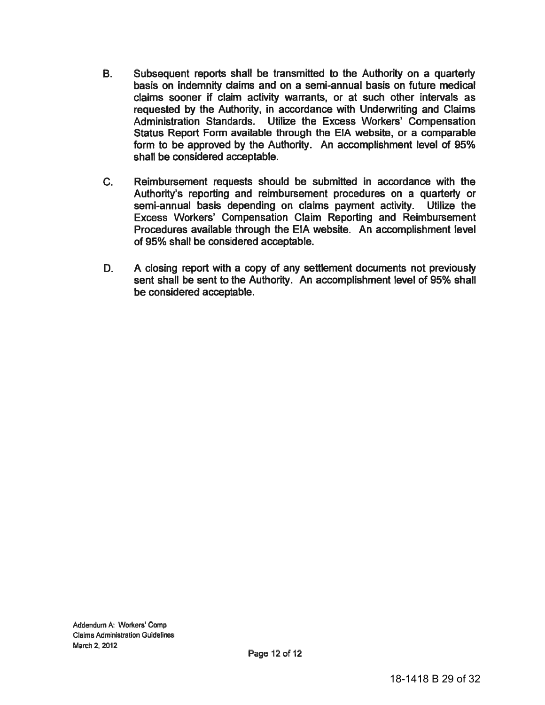- **B.** Subsequent reports shall be transmitted to the Authority on a quarterly basis on indemnity claims and on a semi-annual basis on future medical claims sooner if claim activity warrants, or at such other intervals as requested by the Authority, in accordance with Underwriting and Claims Administration Standards. Utilize the Excess Workers' Compensation Status Report Form available through the EIA website, or a comparable form to be approved by the Authority. An accomplishment level of 95% shall be considered acceptable.
- $C_{1}$ Reimbursement requests should be submitted in accordance with the Authority's reporting and reimbursement procedures on a quarterly or semi-annual basis depending on claims payment activity. Utilize the Excess Workers' Compensation Claim Reporting and Reimbursement Procedures available through the EIA website. An accomplishment level of 95% shall be considered acceptable.
- D. A closing report with a copy of any settlement documents not previously sent shall be sent to the Authority. An accomplishment level of 95% shall be considered acceptable.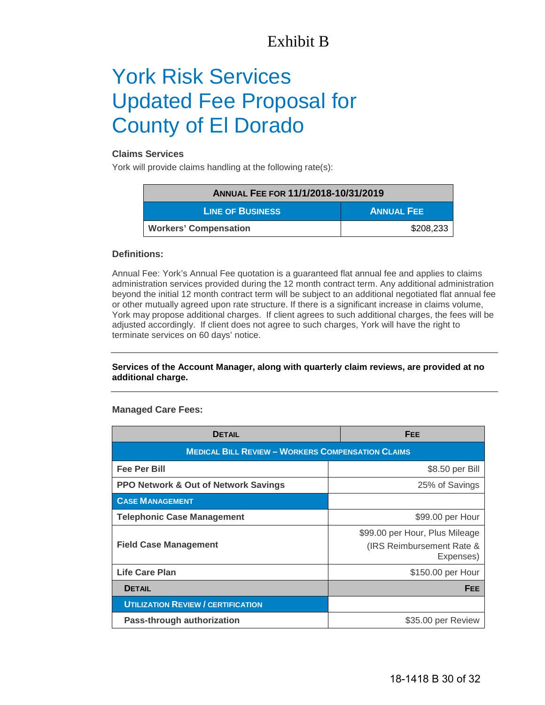# Exhibit B

# York Risk Services Updated Fee Proposal for County of El Dorado

## **Claims Services**

York will provide claims handling at the following rate(s):

| ANNUAL FEE FOR 11/1/2018-10/31/2019 |                   |
|-------------------------------------|-------------------|
| <b>LINE OF BUSINESS</b>             | <b>ANNUAL FEE</b> |
| <b>Workers' Compensation</b>        | \$208,233         |

### **Definitions:**

Annual Fee: York's Annual Fee quotation is a guaranteed flat annual fee and applies to claims administration services provided during the 12 month contract term. Any additional administration beyond the initial 12 month contract term will be subject to an additional negotiated flat annual fee or other mutually agreed upon rate structure. If there is a significant increase in claims volume, York may propose additional charges. If client agrees to such additional charges, the fees will be adjusted accordingly. If client does not agree to such charges, York will have the right to terminate services on 60 days' notice.

### **Services of the Account Manager, along with quarterly claim reviews, are provided at no additional charge.**

## **Managed Care Fees:**

| <b>DETAIL</b>                                            | <b>FEE</b>                                                               |  |
|----------------------------------------------------------|--------------------------------------------------------------------------|--|
| <b>MEDICAL BILL REVIEW - WORKERS COMPENSATION CLAIMS</b> |                                                                          |  |
| <b>Fee Per Bill</b>                                      | \$8.50 per Bill                                                          |  |
| PPO Network & Out of Network Savings                     | 25% of Savings                                                           |  |
| <b>CASE MANAGEMENT</b>                                   |                                                                          |  |
| <b>Telephonic Case Management</b>                        | \$99.00 per Hour                                                         |  |
| <b>Field Case Management</b>                             | \$99.00 per Hour, Plus Mileage<br>(IRS Reimbursement Rate &<br>Expenses) |  |
| <b>Life Care Plan</b>                                    | \$150.00 per Hour                                                        |  |
| <b>DETAIL</b>                                            | <b>FEE</b>                                                               |  |
| <b>UTILIZATION REVIEW / CERTIFICATION</b>                |                                                                          |  |
| Pass-through authorization                               | \$35.00 per Review                                                       |  |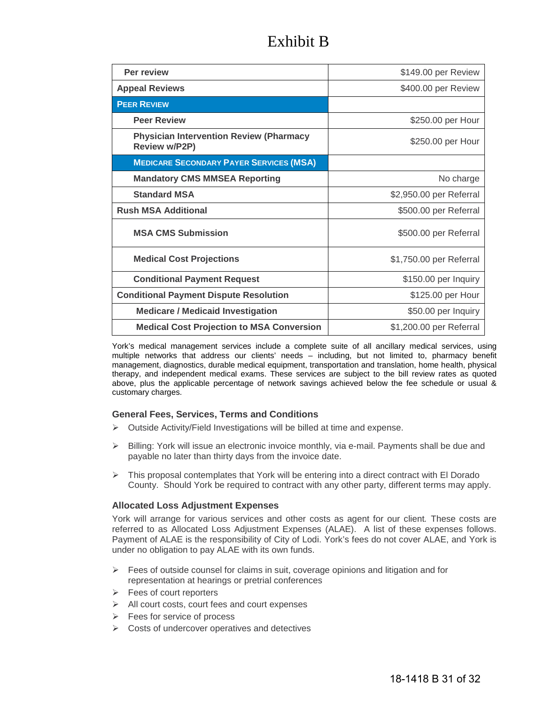# Exhibit B

| Per review                                                             | \$149.00 per Review     |
|------------------------------------------------------------------------|-------------------------|
| <b>Appeal Reviews</b>                                                  | \$400.00 per Review     |
| <b>PEER REVIEW</b>                                                     |                         |
| <b>Peer Review</b>                                                     | \$250.00 per Hour       |
| <b>Physician Intervention Review (Pharmacy</b><br><b>Review w/P2P)</b> | \$250.00 per Hour       |
| <b>MEDICARE SECONDARY PAYER SERVICES (MSA)</b>                         |                         |
| <b>Mandatory CMS MMSEA Reporting</b>                                   | No charge               |
| <b>Standard MSA</b>                                                    | \$2,950.00 per Referral |
| <b>Rush MSA Additional</b>                                             | \$500.00 per Referral   |
| <b>MSA CMS Submission</b>                                              | \$500.00 per Referral   |
| <b>Medical Cost Projections</b>                                        | \$1,750.00 per Referral |
| <b>Conditional Payment Request</b>                                     | \$150.00 per Inquiry    |
| <b>Conditional Payment Dispute Resolution</b>                          | \$125.00 per Hour       |
| <b>Medicare / Medicaid Investigation</b>                               | \$50.00 per Inquiry     |
| <b>Medical Cost Projection to MSA Conversion</b>                       | \$1,200.00 per Referral |

York's medical management services include a complete suite of all ancillary medical services, using multiple networks that address our clients' needs – including, but not limited to, pharmacy benefit management, diagnostics, durable medical equipment, transportation and translation, home health, physical therapy, and independent medical exams. These services are subject to the bill review rates as quoted above, plus the applicable percentage of network savings achieved below the fee schedule or usual & customary charges.

## **General Fees, Services, Terms and Conditions**

- $\triangleright$  Outside Activity/Field Investigations will be billed at time and expense.
- $\triangleright$  Billing: York will issue an electronic invoice monthly, via e-mail. Payments shall be due and payable no later than thirty days from the invoice date.
- $\triangleright$  This proposal contemplates that York will be entering into a direct contract with El Dorado County. Should York be required to contract with any other party, different terms may apply.

#### **Allocated Loss Adjustment Expenses**

York will arrange for various services and other costs as agent for our client*.* These costs are referred to as Allocated Loss Adjustment Expenses (ALAE). A list of these expenses follows. Payment of ALAE is the responsibility of City of Lodi. York's fees do not cover ALAE, and York is under no obligation to pay ALAE with its own funds.

- $\triangleright$  Fees of outside counsel for claims in suit, coverage opinions and litigation and for representation at hearings or pretrial conferences
- $\triangleright$  Fees of court reporters
- $\triangleright$  All court costs, court fees and court expenses
- $\triangleright$  Fees for service of process
- $\triangleright$  Costs of undercover operatives and detectives